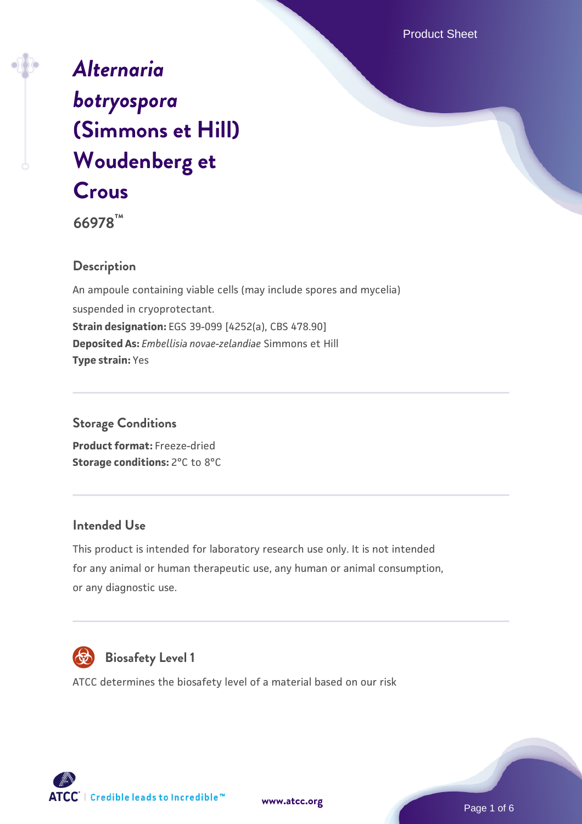Product Sheet

# *[Alternaria](https://www.atcc.org/products/66978) [botryospora](https://www.atcc.org/products/66978)* **[\(Simmons et Hill\)](https://www.atcc.org/products/66978) [Woudenberg et](https://www.atcc.org/products/66978) [Crous](https://www.atcc.org/products/66978)**

**66978™**

# **Description**

An ampoule containing viable cells (may include spores and mycelia) suspended in cryoprotectant. **Strain designation:** EGS 39-099 [4252(a), CBS 478.90] **Deposited As:** *Embellisia novae-zelandiae* Simmons et Hill **Type strain:** Yes

## **Storage Conditions**

**Product format:** Freeze-dried **Storage conditions: 2°C to 8°C** 

# **Intended Use**

This product is intended for laboratory research use only. It is not intended for any animal or human therapeutic use, any human or animal consumption, or any diagnostic use.



# **Biosafety Level 1**

ATCC determines the biosafety level of a material based on our risk



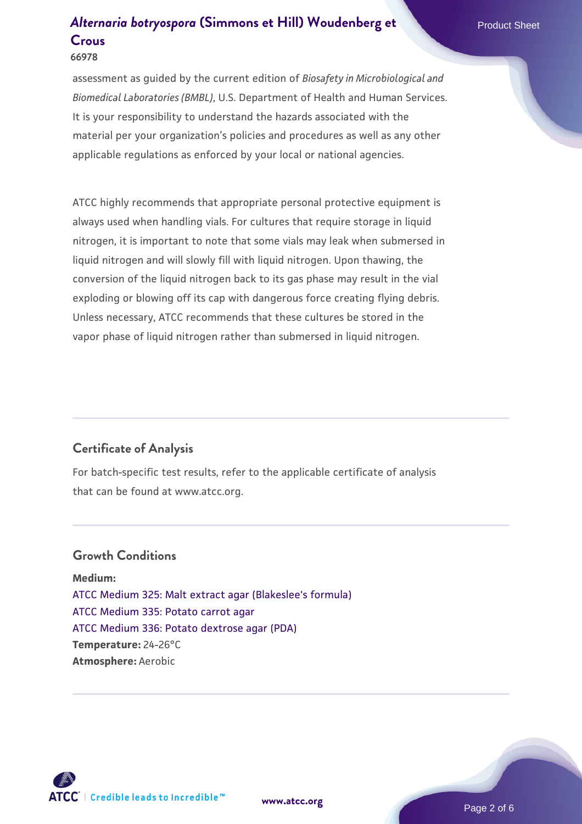assessment as guided by the current edition of *Biosafety in Microbiological and Biomedical Laboratories (BMBL)*, U.S. Department of Health and Human Services. It is your responsibility to understand the hazards associated with the material per your organization's policies and procedures as well as any other applicable regulations as enforced by your local or national agencies.

ATCC highly recommends that appropriate personal protective equipment is always used when handling vials. For cultures that require storage in liquid nitrogen, it is important to note that some vials may leak when submersed in liquid nitrogen and will slowly fill with liquid nitrogen. Upon thawing, the conversion of the liquid nitrogen back to its gas phase may result in the vial exploding or blowing off its cap with dangerous force creating flying debris. Unless necessary, ATCC recommends that these cultures be stored in the vapor phase of liquid nitrogen rather than submersed in liquid nitrogen.

#### **Certificate of Analysis**

For batch-specific test results, refer to the applicable certificate of analysis that can be found at www.atcc.org.

#### **Growth Conditions**

**Medium:**  [ATCC Medium 325: Malt extract agar \(Blakeslee's formula\)](https://www.atcc.org/-/media/product-assets/documents/microbial-media-formulations/3/2/5/atcc-medium-325.pdf?rev=146ec77015184a96912232dcb12386f9) [ATCC Medium 335: Potato carrot agar](https://www.atcc.org/-/media/product-assets/documents/microbial-media-formulations/3/3/5/atcc-medium-335.pdf?rev=a7055ab8b3c54646a9d0bdf7b34c1606) [ATCC Medium 336: Potato dextrose agar \(PDA\)](https://www.atcc.org/-/media/product-assets/documents/microbial-media-formulations/3/3/6/atcc-medium-336.pdf?rev=d9160ad44d934cd8b65175461abbf3b9) **Temperature:** 24-26°C **Atmosphere:** Aerobic

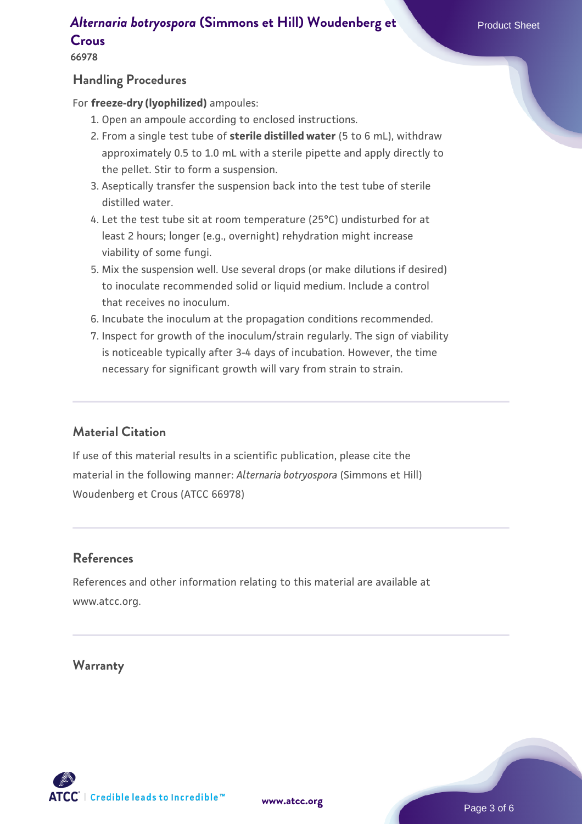**66978**

#### **Handling Procedures**

For **freeze-dry (lyophilized)** ampoules:

- 1. Open an ampoule according to enclosed instructions.
- 2. From a single test tube of **sterile distilled water** (5 to 6 mL), withdraw approximately 0.5 to 1.0 mL with a sterile pipette and apply directly to the pellet. Stir to form a suspension.
- 3. Aseptically transfer the suspension back into the test tube of sterile distilled water.
- 4. Let the test tube sit at room temperature (25°C) undisturbed for at least 2 hours; longer (e.g., overnight) rehydration might increase viability of some fungi.
- Mix the suspension well. Use several drops (or make dilutions if desired) 5. to inoculate recommended solid or liquid medium. Include a control that receives no inoculum.
- 6. Incubate the inoculum at the propagation conditions recommended.
- 7. Inspect for growth of the inoculum/strain regularly. The sign of viability is noticeable typically after 3-4 days of incubation. However, the time necessary for significant growth will vary from strain to strain.

# **Material Citation**

If use of this material results in a scientific publication, please cite the material in the following manner: *Alternaria botryospora* (Simmons et Hill) Woudenberg et Crous (ATCC 66978)

## **References**

References and other information relating to this material are available at www.atcc.org.

#### **Warranty**

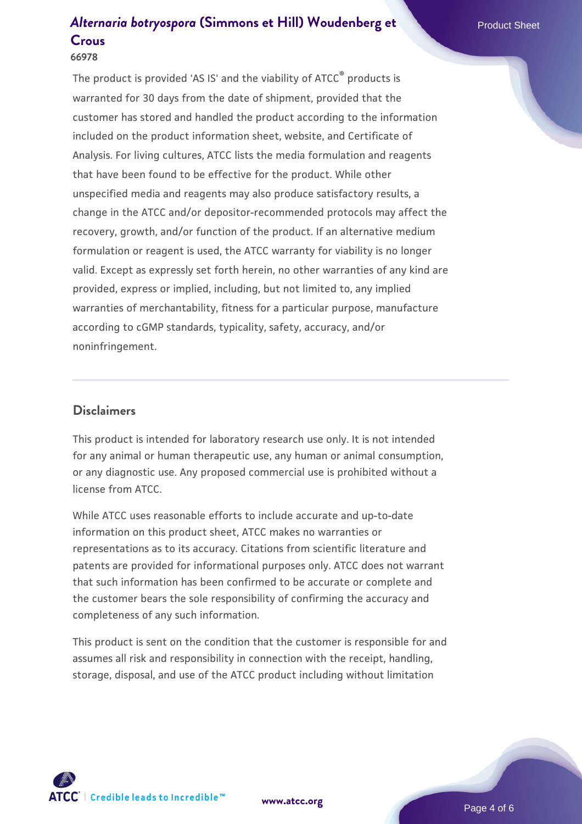#### **66978**

The product is provided 'AS IS' and the viability of ATCC® products is warranted for 30 days from the date of shipment, provided that the customer has stored and handled the product according to the information included on the product information sheet, website, and Certificate of Analysis. For living cultures, ATCC lists the media formulation and reagents that have been found to be effective for the product. While other unspecified media and reagents may also produce satisfactory results, a change in the ATCC and/or depositor-recommended protocols may affect the recovery, growth, and/or function of the product. If an alternative medium formulation or reagent is used, the ATCC warranty for viability is no longer valid. Except as expressly set forth herein, no other warranties of any kind are provided, express or implied, including, but not limited to, any implied warranties of merchantability, fitness for a particular purpose, manufacture according to cGMP standards, typicality, safety, accuracy, and/or noninfringement.

#### **Disclaimers**

This product is intended for laboratory research use only. It is not intended for any animal or human therapeutic use, any human or animal consumption, or any diagnostic use. Any proposed commercial use is prohibited without a license from ATCC.

While ATCC uses reasonable efforts to include accurate and up-to-date information on this product sheet, ATCC makes no warranties or representations as to its accuracy. Citations from scientific literature and patents are provided for informational purposes only. ATCC does not warrant that such information has been confirmed to be accurate or complete and the customer bears the sole responsibility of confirming the accuracy and completeness of any such information.

This product is sent on the condition that the customer is responsible for and assumes all risk and responsibility in connection with the receipt, handling, storage, disposal, and use of the ATCC product including without limitation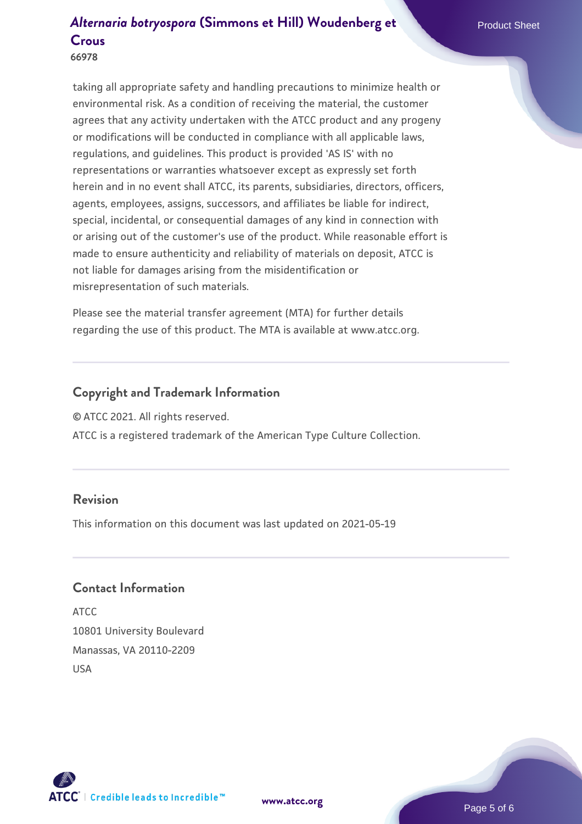# **66978**

taking all appropriate safety and handling precautions to minimize health or environmental risk. As a condition of receiving the material, the customer agrees that any activity undertaken with the ATCC product and any progeny or modifications will be conducted in compliance with all applicable laws, regulations, and guidelines. This product is provided 'AS IS' with no representations or warranties whatsoever except as expressly set forth herein and in no event shall ATCC, its parents, subsidiaries, directors, officers, agents, employees, assigns, successors, and affiliates be liable for indirect, special, incidental, or consequential damages of any kind in connection with or arising out of the customer's use of the product. While reasonable effort is made to ensure authenticity and reliability of materials on deposit, ATCC is not liable for damages arising from the misidentification or misrepresentation of such materials.

Please see the material transfer agreement (MTA) for further details regarding the use of this product. The MTA is available at www.atcc.org.

# **Copyright and Trademark Information**

© ATCC 2021. All rights reserved.

ATCC is a registered trademark of the American Type Culture Collection.

## **Revision**

This information on this document was last updated on 2021-05-19

#### **Contact Information**

ATCC 10801 University Boulevard Manassas, VA 20110-2209 USA